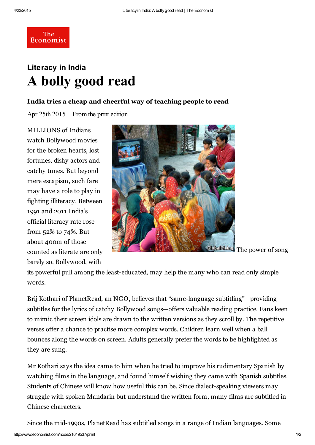**The** Economist

## Literacy in India A bolly good read

## India tries a cheap and cheerful way of teaching people to read

Apr 25th 2015 | From the print [edition](http://www.economist.com/printedition/2015-04-23)

MILLIONS of Indians watch Bollywood movies for the broken hearts, lost fortunes, dishy actors and catchy tunes. But beyond mere escapism, such fare may have a role to play in fighting illiteracy. Between 1991 and 2011 India's official literacy rate rose from 52% to 74%. But about 400m of those counted as literate are only barely so. Bollywood, with



The power of song

its powerful pull among the least-educated, may help the many who can read only simple words.

Brij Kothari of PlanetRead, an NGO, believes that "same-language subtitling"—providing subtitles for the lyrics of catchy Bollywood songs—offers valuable reading practice. Fans keen to mimic their screen idols are drawn to the written versions as they scroll by. The repetitive verses offer a chance to practise more complex words. Children learn well when a ball bounces along the words on screen. Adults generally prefer the words to be highlighted as they are sung.

Mr Kothari says the idea came to him when he tried to improve his rudimentary Spanish by watching films in the language, and found himself wishing they came with Spanish subtitles. Students of Chinese will know how useful this can be. Since dialect-speaking viewers may struggle with spoken Mandarin but understand the written form, many films are subtitled in Chinese characters.

Since the mid-1990s, PlanetRead has subtitled songs in a range of Indian languages. Some